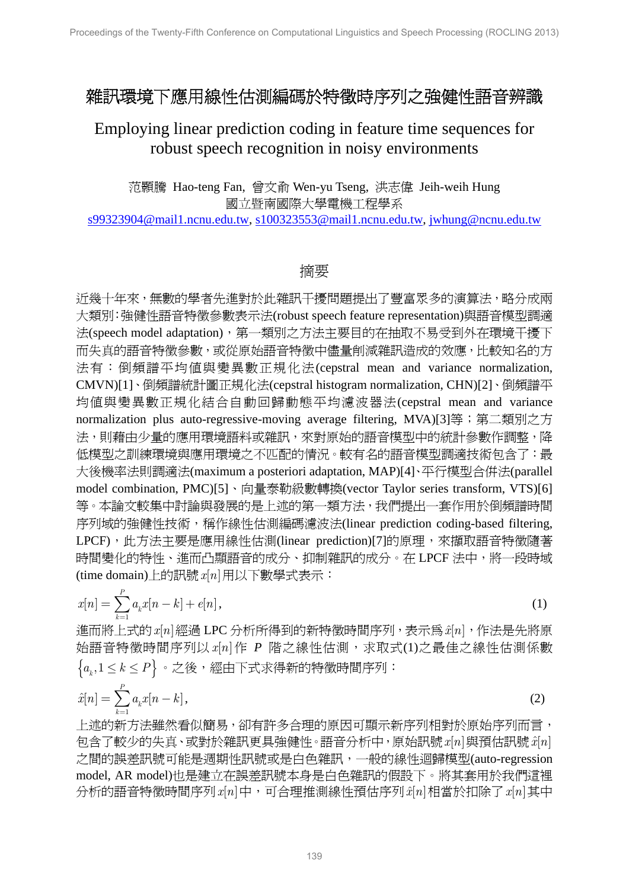## 雜訊環境下應用線性估測編碼於特徵時序列之強健性語音辨識

## Employing linear prediction coding in feature time sequences for robust speech recognition in noisy environments

范顥騰 Hao-teng Fan, 曾文俞 Wen-yu Tseng, 洪志偉 Jeih-weih Hung 國立暨南國際大學電機工程學系

s99323904@mail1.ncnu.edu.tw, s100323553@mail1.ncnu.edu.tw, jwhung@ncnu.edu.tw

## 摘要

近幾十年來,無數的學者先進對於此雜訊干擾問題提出了豐富眾多的演算法,略分成兩 大類別:強健性語音特徵參數表示法(robust speech feature representation)與語音模型調適 法(speech model adaptation),第一類別之方法主要目的在抽取不易受到外在環境干擾下 而失真的語音特徵參數,或從原始語音特徵中儘量削減雜訊造成的效應,比較知名的方 法有:倒頻譜平均值與變異數正規化法(cepstral mean and variance normalization, CMVN)[1]、倒頻譜統計圖正規化法(cepstral histogram normalization, CHN)[2]、倒頻譜平 均值與變異數正規化結合自動回歸動態平均濾波器法(cepstral mean and variance normalization plus auto-regressive-moving average filtering, MVA)[3]等;第二類別之方 法,則藉由少量的應用環境語料或雜訊,來對原始的語音模型中的統計參數作調整,降 低模型之訓練環境與應用環境之不匹配的情況。較有名的語音模型調適技術包含了:最 大後機率法則調適法(maximum a posteriori adaptation, MAP)[4]、平行模型合併法(parallel model combination, PMC)[5]、向量泰勒級數轉換(vector Taylor series transform, VTS)[6] 等。本論文較集中討論與發展的是上述的第一類方法,我們提出一套作用於倒頻譜時間 序列域的強健性技術,稱作線性估測編碼濾波法(linear prediction coding-based filtering, LPCF), 此方法主要是應用線性估測(linear prediction)[7]的原理, 來擷取語音特徵隨著 時間變化的特性、進而凸顯語音的成分、抑制雜訊的成分。在 LPCF 法中, 將一段時域 (time domain)上的訊號  $x[n]$ 用以下數學式表示:

$$
x[n] = \sum_{k=1}^{P} a_k x[n-k] + e[n],
$$
\n(1)

進而將上式的 *x*[n]經過 LPC 分析所得到的新特徵時間序列,表示為  $\hat{x}[n]$ ,作法是先將原 始語音特徵時間序列以 x[n] 作 P 階之線性估測, 求取式(1)之最佳之線性估測係數  ${a_k, 1 \le k \le P}$ 。之後,經由下式求得新的特徵時間序列:

$$
\hat{x}[n] = \sum_{k=1}^{P} a_k x[n-k],
$$
\n(2)

上述的新方法雖然看似簡易,卻有許多合理的原因可顯示新序列相對於原始序列而言, 包含了較少的失真、或對於雜訊更具強健性。語音分析中,原始訊號 x[n] 與預估訊號 x[n] 之間的誤差訊號可能是週期性訊號或是白色雜訊,一般的線性迴歸模型(auto-regression model, AR model)也是建立在誤差訊號本身是白色雜訊的假設下。將其套用於我們這裡 分析的語音特徵時間序列 $x[n]$ 中,可合理推測線性預估序列 $\hat{x}[n]$ 相當於扣除了 $x[n]$ 其中